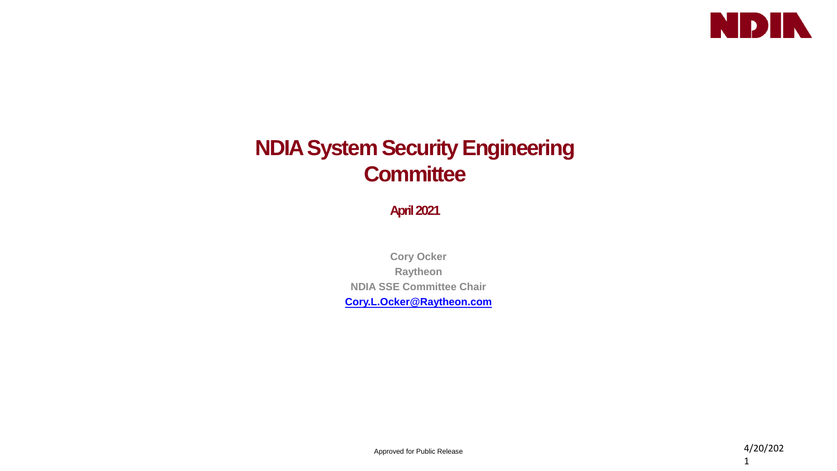

## **NDIA System Security Engineering Committee**

**April 2021**

**Cory Ocker Raytheon NDIA SSE Committee Chair [Cory.L.Ocker@Raytheon.com](mailto:Cory.Ocker@Raytheon.com)**

Approved for Public Release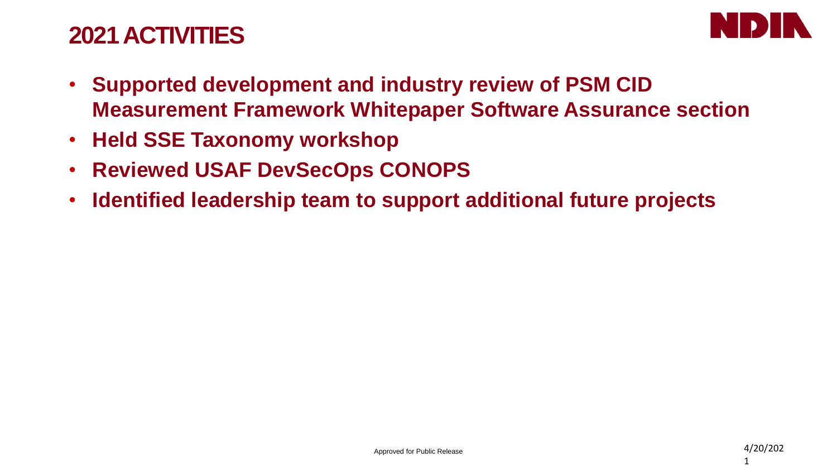## **2021 ACTIVITIES**



- **Supported development and industry review of PSM CID Measurement Framework Whitepaper Software Assurance section**
- **Held SSE Taxonomy workshop**
- **Reviewed USAF DevSecOps CONOPS**
- **Identified leadership team to support additional future projects**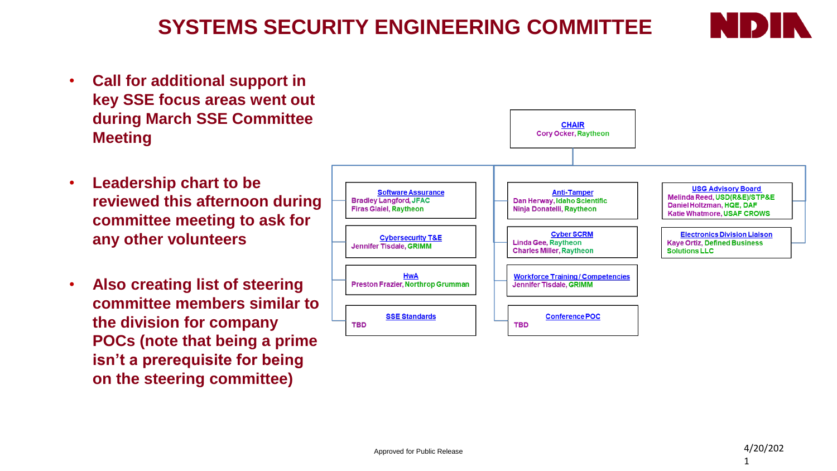**committee meeting to ask for any other volunteers**

• **Also creating list of steering committee members similar to the division for company POCs (note that being a prime isn't a prerequisite for being on the steering committee)** 

### **SYSTEMS SECURITY ENGINEERING COMMITTEE**





**CHAIR** 

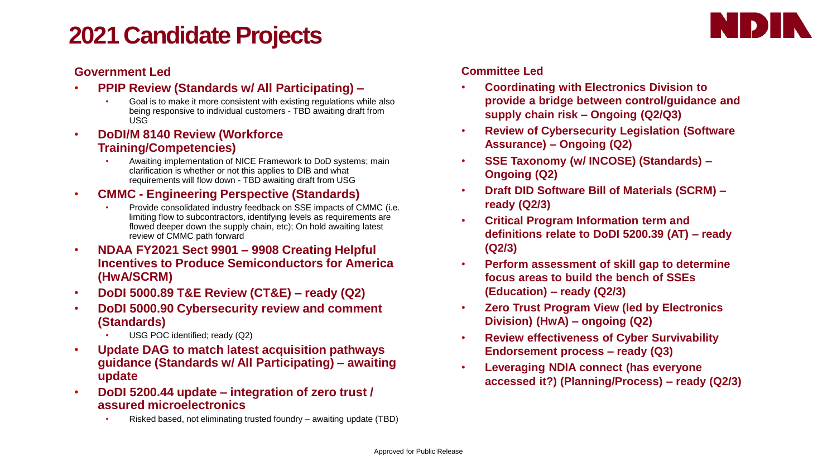# **2021 Candidate Projects**



### **Government Led**

- **PPIP Review (Standards w/ All Participating) –**
	- Goal is to make it more consistent with existing regulations while also being responsive to individual customers - TBD awaiting draft from USG
- **DoDI/M 8140 Review (Workforce Training/Competencies)**
	- Awaiting implementation of NICE Framework to DoD systems; main clarification is whether or not this applies to DIB and what requirements will flow down - TBD awaiting draft from USG
- **CMMC - Engineering Perspective (Standards)**
	- Provide consolidated industry feedback on SSE impacts of CMMC (i.e. limiting flow to subcontractors, identifying levels as requirements are flowed deeper down the supply chain, etc); On hold awaiting latest review of CMMC path forward
- **NDAA FY2021 Sect 9901 – 9908 Creating Helpful Incentives to Produce Semiconductors for America (HwA/SCRM)**
- **DoDI 5000.89 T&E Review (CT&E) – ready (Q2)**
- **DoDI 5000.90 Cybersecurity review and comment (Standards)**
	- USG POC identified; ready (Q2)
- **Update DAG to match latest acquisition pathways guidance (Standards w/ All Participating) – awaiting update**
- **DoDI 5200.44 update – integration of zero trust / assured microelectronics**
	- Risked based, not eliminating trusted foundry awaiting update (TBD)

### **Committee Led**

- **Coordinating with Electronics Division to provide a bridge between control/guidance and supply chain risk – Ongoing (Q2/Q3)**
- **Review of Cybersecurity Legislation (Software Assurance) – Ongoing (Q2)**
- **SSE Taxonomy (w/ INCOSE) (Standards) – Ongoing (Q2)**
- **Draft DID Software Bill of Materials (SCRM) – ready (Q2/3)**
- **Critical Program Information term and definitions relate to DoDI 5200.39 (AT) – ready (Q2/3)**
- **Perform assessment of skill gap to determine focus areas to build the bench of SSEs (Education) – ready (Q2/3)**
- **Zero Trust Program View (led by Electronics Division) (HwA) – ongoing (Q2)**
- **Review effectiveness of Cyber Survivability Endorsement process – ready (Q3)**
- **Leveraging NDIA connect (has everyone accessed it?) (Planning/Process) – ready (Q2/3)**